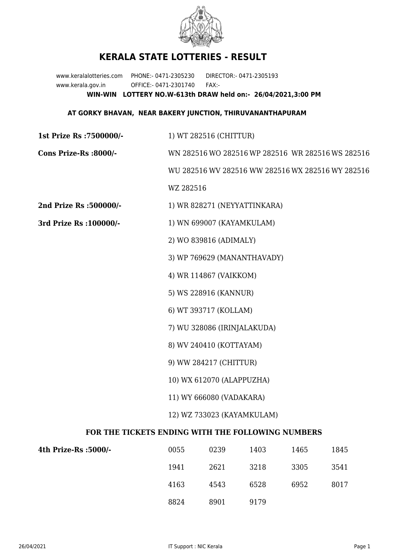

## **KERALA STATE LOTTERIES - RESULT**

www.keralalotteries.com PHONE:- 0471-2305230 DIRECTOR:- 0471-2305193 www.kerala.gov.in OFFICE:- 0471-2301740 FAX:- **WIN-WIN LOTTERY NO.W-613th DRAW held on:- 26/04/2021,3:00 PM**

## **AT GORKY BHAVAN, NEAR BAKERY JUNCTION, THIRUVANANTHAPURAM**

| <b>1st Prize Rs: 7500000/-</b>                    | 1) WT 282516 (CHITTUR)                            |  |  |  |  |
|---------------------------------------------------|---------------------------------------------------|--|--|--|--|
| Cons Prize-Rs :8000/-                             | WN 282516 WO 282516 WP 282516 WR 282516 WS 282516 |  |  |  |  |
|                                                   | WU 282516 WV 282516 WW 282516 WX 282516 WY 282516 |  |  |  |  |
|                                                   | WZ 282516                                         |  |  |  |  |
| 2nd Prize Rs :500000/-                            | 1) WR 828271 (NEYYATTINKARA)                      |  |  |  |  |
| 3rd Prize Rs : 100000/-                           | 1) WN 699007 (KAYAMKULAM)                         |  |  |  |  |
|                                                   | 2) WO 839816 (ADIMALY)                            |  |  |  |  |
|                                                   | 3) WP 769629 (MANANTHAVADY)                       |  |  |  |  |
|                                                   | 4) WR 114867 (VAIKKOM)                            |  |  |  |  |
|                                                   | 5) WS 228916 (KANNUR)                             |  |  |  |  |
|                                                   | 6) WT 393717 (KOLLAM)                             |  |  |  |  |
|                                                   | 7) WU 328086 (IRINJALAKUDA)                       |  |  |  |  |
|                                                   | 8) WV 240410 (KOTTAYAM)                           |  |  |  |  |
|                                                   | 9) WW 284217 (CHITTUR)                            |  |  |  |  |
|                                                   | 10) WX 612070 (ALAPPUZHA)                         |  |  |  |  |
|                                                   | 11) WY 666080 (VADAKARA)                          |  |  |  |  |
|                                                   | 12) WZ 733023 (KAYAMKULAM)                        |  |  |  |  |
| FOR THE TICKETS ENDING WITH THE FOLLOWING NUMBERS |                                                   |  |  |  |  |
|                                                   |                                                   |  |  |  |  |

| 4th Prize-Rs :5000/- | 0055 | 0239 | 1403 | 1465 | 1845 |
|----------------------|------|------|------|------|------|
|                      | 1941 | 2621 | 3218 | 3305 | 3541 |
|                      | 4163 | 4543 | 6528 | 6952 | 8017 |
|                      | 8824 | 8901 | 9179 |      |      |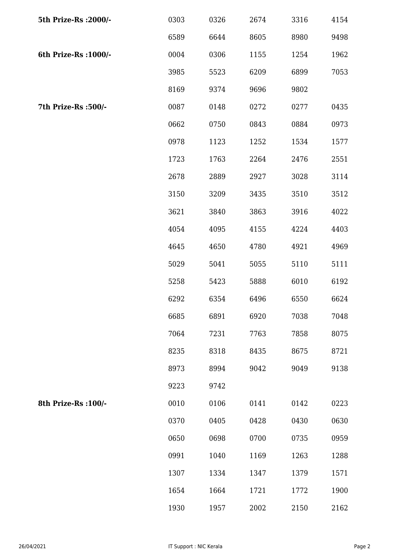| 5th Prize-Rs : 2000/- | 0303 | 0326 | 2674 | 3316 | 4154 |
|-----------------------|------|------|------|------|------|
|                       | 6589 | 6644 | 8605 | 8980 | 9498 |
| 6th Prize-Rs : 1000/- | 0004 | 0306 | 1155 | 1254 | 1962 |
|                       | 3985 | 5523 | 6209 | 6899 | 7053 |
|                       | 8169 | 9374 | 9696 | 9802 |      |
| 7th Prize-Rs :500/-   | 0087 | 0148 | 0272 | 0277 | 0435 |
|                       | 0662 | 0750 | 0843 | 0884 | 0973 |
|                       | 0978 | 1123 | 1252 | 1534 | 1577 |
|                       | 1723 | 1763 | 2264 | 2476 | 2551 |
|                       | 2678 | 2889 | 2927 | 3028 | 3114 |
|                       | 3150 | 3209 | 3435 | 3510 | 3512 |
|                       | 3621 | 3840 | 3863 | 3916 | 4022 |
|                       | 4054 | 4095 | 4155 | 4224 | 4403 |
|                       | 4645 | 4650 | 4780 | 4921 | 4969 |
|                       | 5029 | 5041 | 5055 | 5110 | 5111 |
|                       | 5258 | 5423 | 5888 | 6010 | 6192 |
|                       | 6292 | 6354 | 6496 | 6550 | 6624 |
|                       | 6685 | 6891 | 6920 | 7038 | 7048 |
|                       | 7064 | 7231 | 7763 | 7858 | 8075 |
|                       | 8235 | 8318 | 8435 | 8675 | 8721 |
|                       | 8973 | 8994 | 9042 | 9049 | 9138 |
|                       | 9223 | 9742 |      |      |      |
| 8th Prize-Rs : 100/-  | 0010 | 0106 | 0141 | 0142 | 0223 |
|                       | 0370 | 0405 | 0428 | 0430 | 0630 |
|                       | 0650 | 0698 | 0700 | 0735 | 0959 |
|                       | 0991 | 1040 | 1169 | 1263 | 1288 |
|                       | 1307 | 1334 | 1347 | 1379 | 1571 |
|                       | 1654 | 1664 | 1721 | 1772 | 1900 |
|                       | 1930 | 1957 | 2002 | 2150 | 2162 |